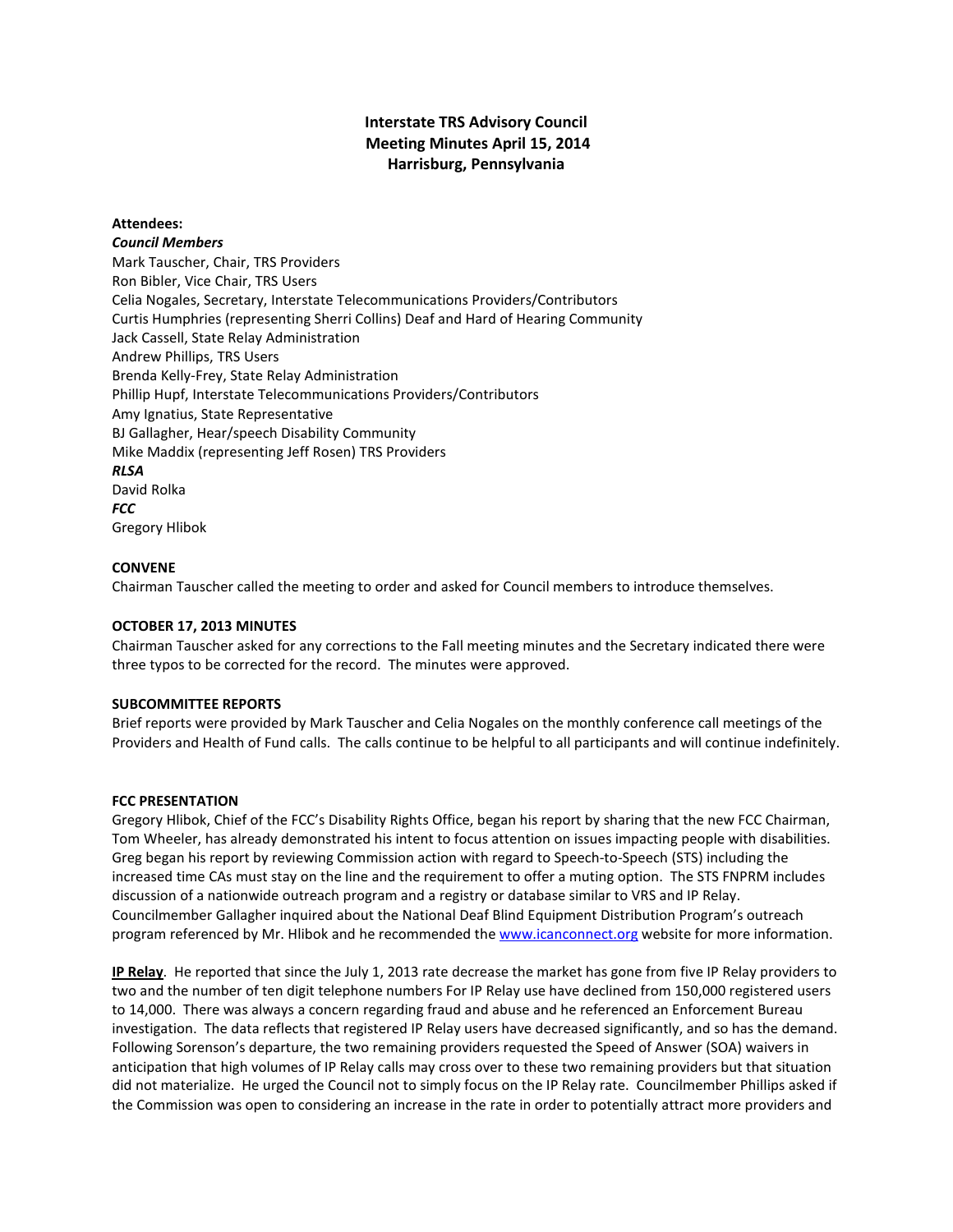# **Interstate TRS Advisory Council Meeting Minutes April 15, 2014 Harrisburg, Pennsylvania**

# **Attendees:**

## *Council Members*

Mark Tauscher, Chair, TRS Providers Ron Bibler, Vice Chair, TRS Users Celia Nogales, Secretary, Interstate Telecommunications Providers/Contributors Curtis Humphries (representing Sherri Collins) Deaf and Hard of Hearing Community Jack Cassell, State Relay Administration Andrew Phillips, TRS Users Brenda Kelly-Frey, State Relay Administration Phillip Hupf, Interstate Telecommunications Providers/Contributors Amy Ignatius, State Representative BJ Gallagher, Hear/speech Disability Community Mike Maddix (representing Jeff Rosen) TRS Providers *RLSA* David Rolka *FCC* Gregory Hlibok

## **CONVENE**

Chairman Tauscher called the meeting to order and asked for Council members to introduce themselves.

## **OCTOBER 17, 2013 MINUTES**

Chairman Tauscher asked for any corrections to the Fall meeting minutes and the Secretary indicated there were three typos to be corrected for the record. The minutes were approved.

## **SUBCOMMITTEE REPORTS**

Brief reports were provided by Mark Tauscher and Celia Nogales on the monthly conference call meetings of the Providers and Health of Fund calls. The calls continue to be helpful to all participants and will continue indefinitely.

#### **FCC PRESENTATION**

Gregory Hlibok, Chief of the FCC's Disability Rights Office, began his report by sharing that the new FCC Chairman, Tom Wheeler, has already demonstrated his intent to focus attention on issues impacting people with disabilities. Greg began his report by reviewing Commission action with regard to Speech-to-Speech (STS) including the increased time CAs must stay on the line and the requirement to offer a muting option. The STS FNPRM includes discussion of a nationwide outreach program and a registry or database similar to VRS and IP Relay. Councilmember Gallagher inquired about the National Deaf Blind Equipment Distribution Program's outreach program referenced by Mr. Hlibok and he recommended the [www.icanconnect.org](http://www.icanconnect.org/) website for more information.

**IP Relay**. He reported that since the July 1, 2013 rate decrease the market has gone from five IP Relay providers to two and the number of ten digit telephone numbers For IP Relay use have declined from 150,000 registered users to 14,000. There was always a concern regarding fraud and abuse and he referenced an Enforcement Bureau investigation. The data reflects that registered IP Relay users have decreased significantly, and so has the demand. Following Sorenson's departure, the two remaining providers requested the Speed of Answer (SOA) waivers in anticipation that high volumes of IP Relay calls may cross over to these two remaining providers but that situation did not materialize. He urged the Council not to simply focus on the IP Relay rate. Councilmember Phillips asked if the Commission was open to considering an increase in the rate in order to potentially attract more providers and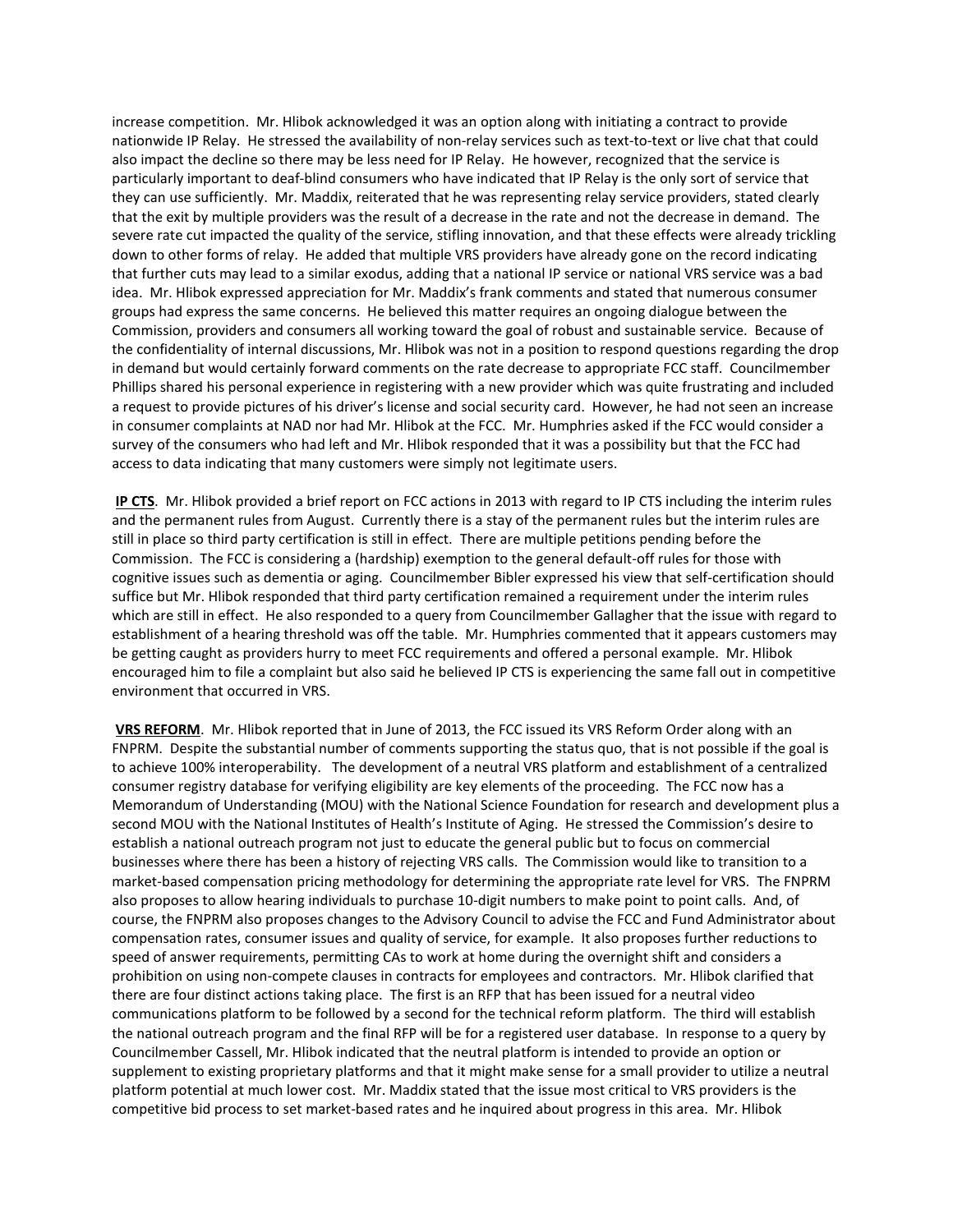increase competition. Mr. Hlibok acknowledged it was an option along with initiating a contract to provide nationwide IP Relay. He stressed the availability of non-relay services such as text-to-text or live chat that could also impact the decline so there may be less need for IP Relay. He however, recognized that the service is particularly important to deaf-blind consumers who have indicated that IP Relay is the only sort of service that they can use sufficiently. Mr. Maddix, reiterated that he was representing relay service providers, stated clearly that the exit by multiple providers was the result of a decrease in the rate and not the decrease in demand. The severe rate cut impacted the quality of the service, stifling innovation, and that these effects were already trickling down to other forms of relay. He added that multiple VRS providers have already gone on the record indicating that further cuts may lead to a similar exodus, adding that a national IP service or national VRS service was a bad idea. Mr. Hlibok expressed appreciation for Mr. Maddix's frank comments and stated that numerous consumer groups had express the same concerns. He believed this matter requires an ongoing dialogue between the Commission, providers and consumers all working toward the goal of robust and sustainable service. Because of the confidentiality of internal discussions, Mr. Hlibok was not in a position to respond questions regarding the drop in demand but would certainly forward comments on the rate decrease to appropriate FCC staff. Councilmember Phillips shared his personal experience in registering with a new provider which was quite frustrating and included a request to provide pictures of his driver's license and social security card. However, he had not seen an increase in consumer complaints at NAD nor had Mr. Hlibok at the FCC. Mr. Humphries asked if the FCC would consider a survey of the consumers who had left and Mr. Hlibok responded that it was a possibility but that the FCC had access to data indicating that many customers were simply not legitimate users.

**IP CTS**. Mr. Hlibok provided a brief report on FCC actions in 2013 with regard to IP CTS including the interim rules and the permanent rules from August. Currently there is a stay of the permanent rules but the interim rules are still in place so third party certification is still in effect. There are multiple petitions pending before the Commission. The FCC is considering a (hardship) exemption to the general default-off rules for those with cognitive issues such as dementia or aging. Councilmember Bibler expressed his view that self-certification should suffice but Mr. Hlibok responded that third party certification remained a requirement under the interim rules which are still in effect. He also responded to a query from Councilmember Gallagher that the issue with regard to establishment of a hearing threshold was off the table. Mr. Humphries commented that it appears customers may be getting caught as providers hurry to meet FCC requirements and offered a personal example. Mr. Hlibok encouraged him to file a complaint but also said he believed IP CTS is experiencing the same fall out in competitive environment that occurred in VRS.

**VRS REFORM**. Mr. Hlibok reported that in June of 2013, the FCC issued its VRS Reform Order along with an FNPRM. Despite the substantial number of comments supporting the status quo, that is not possible if the goal is to achieve 100% interoperability. The development of a neutral VRS platform and establishment of a centralized consumer registry database for verifying eligibility are key elements of the proceeding. The FCC now has a Memorandum of Understanding (MOU) with the National Science Foundation for research and development plus a second MOU with the National Institutes of Health's Institute of Aging. He stressed the Commission's desire to establish a national outreach program not just to educate the general public but to focus on commercial businesses where there has been a history of rejecting VRS calls. The Commission would like to transition to a market-based compensation pricing methodology for determining the appropriate rate level for VRS. The FNPRM also proposes to allow hearing individuals to purchase 10-digit numbers to make point to point calls. And, of course, the FNPRM also proposes changes to the Advisory Council to advise the FCC and Fund Administrator about compensation rates, consumer issues and quality of service, for example. It also proposes further reductions to speed of answer requirements, permitting CAs to work at home during the overnight shift and considers a prohibition on using non-compete clauses in contracts for employees and contractors. Mr. Hlibok clarified that there are four distinct actions taking place. The first is an RFP that has been issued for a neutral video communications platform to be followed by a second for the technical reform platform. The third will establish the national outreach program and the final RFP will be for a registered user database. In response to a query by Councilmember Cassell, Mr. Hlibok indicated that the neutral platform is intended to provide an option or supplement to existing proprietary platforms and that it might make sense for a small provider to utilize a neutral platform potential at much lower cost. Mr. Maddix stated that the issue most critical to VRS providers is the competitive bid process to set market-based rates and he inquired about progress in this area. Mr. Hlibok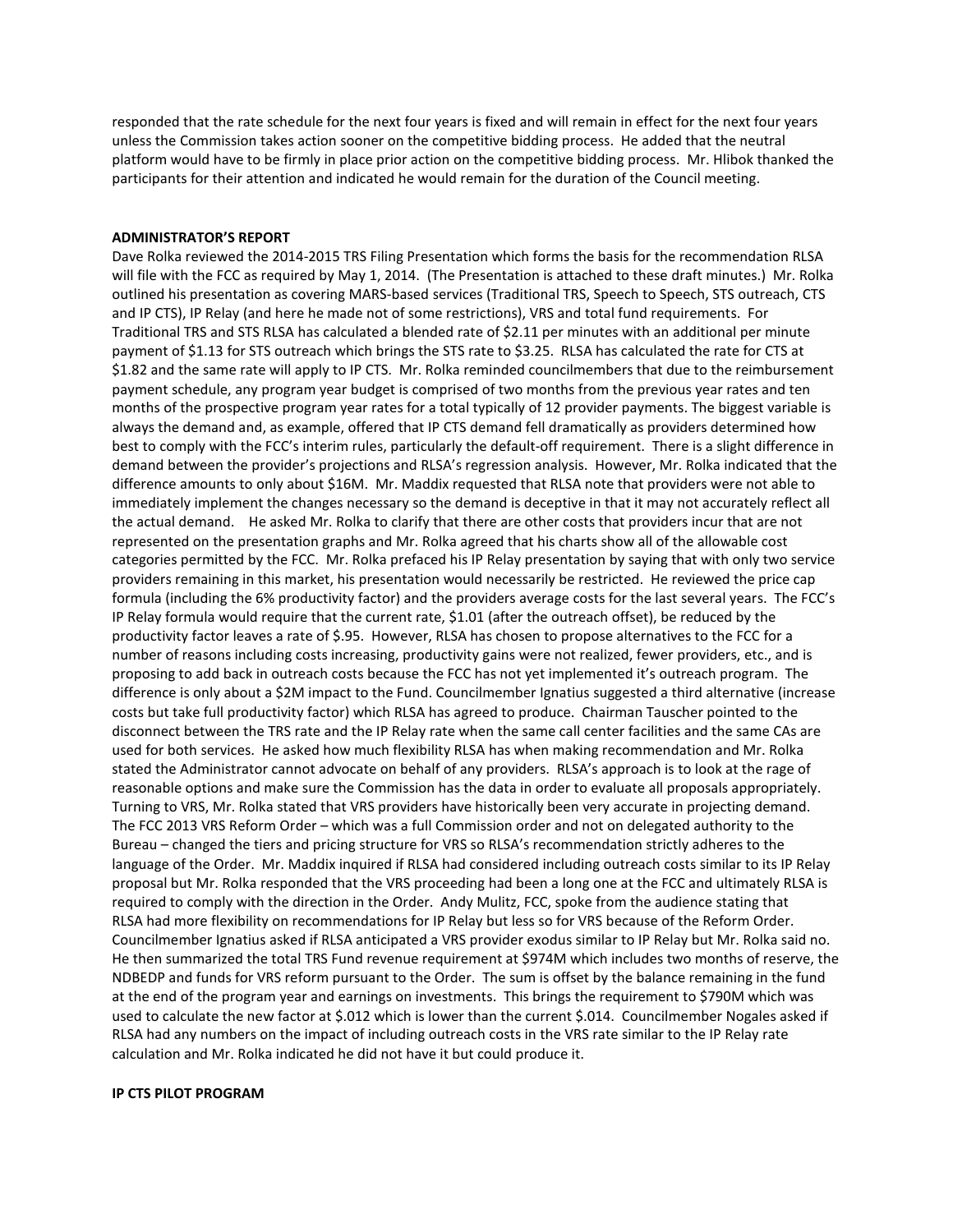responded that the rate schedule for the next four years is fixed and will remain in effect for the next four years unless the Commission takes action sooner on the competitive bidding process. He added that the neutral platform would have to be firmly in place prior action on the competitive bidding process. Mr. Hlibok thanked the participants for their attention and indicated he would remain for the duration of the Council meeting.

#### **ADMINISTRATOR'S REPORT**

Dave Rolka reviewed the 2014-2015 TRS Filing Presentation which forms the basis for the recommendation RLSA will file with the FCC as required by May 1, 2014. (The Presentation is attached to these draft minutes.) Mr. Rolka outlined his presentation as covering MARS-based services (Traditional TRS, Speech to Speech, STS outreach, CTS and IP CTS), IP Relay (and here he made not of some restrictions), VRS and total fund requirements. For Traditional TRS and STS RLSA has calculated a blended rate of \$2.11 per minutes with an additional per minute payment of \$1.13 for STS outreach which brings the STS rate to \$3.25. RLSA has calculated the rate for CTS at \$1.82 and the same rate will apply to IP CTS. Mr. Rolka reminded councilmembers that due to the reimbursement payment schedule, any program year budget is comprised of two months from the previous year rates and ten months of the prospective program year rates for a total typically of 12 provider payments. The biggest variable is always the demand and, as example, offered that IP CTS demand fell dramatically as providers determined how best to comply with the FCC's interim rules, particularly the default-off requirement. There is a slight difference in demand between the provider's projections and RLSA's regression analysis. However, Mr. Rolka indicated that the difference amounts to only about \$16M. Mr. Maddix requested that RLSA note that providers were not able to immediately implement the changes necessary so the demand is deceptive in that it may not accurately reflect all the actual demand. He asked Mr. Rolka to clarify that there are other costs that providers incur that are not represented on the presentation graphs and Mr. Rolka agreed that his charts show all of the allowable cost categories permitted by the FCC. Mr. Rolka prefaced his IP Relay presentation by saying that with only two service providers remaining in this market, his presentation would necessarily be restricted. He reviewed the price cap formula (including the 6% productivity factor) and the providers average costs for the last several years. The FCC's IP Relay formula would require that the current rate, \$1.01 (after the outreach offset), be reduced by the productivity factor leaves a rate of \$.95. However, RLSA has chosen to propose alternatives to the FCC for a number of reasons including costs increasing, productivity gains were not realized, fewer providers, etc., and is proposing to add back in outreach costs because the FCC has not yet implemented it's outreach program. The difference is only about a \$2M impact to the Fund. Councilmember Ignatius suggested a third alternative (increase costs but take full productivity factor) which RLSA has agreed to produce. Chairman Tauscher pointed to the disconnect between the TRS rate and the IP Relay rate when the same call center facilities and the same CAs are used for both services. He asked how much flexibility RLSA has when making recommendation and Mr. Rolka stated the Administrator cannot advocate on behalf of any providers. RLSA's approach is to look at the rage of reasonable options and make sure the Commission has the data in order to evaluate all proposals appropriately. Turning to VRS, Mr. Rolka stated that VRS providers have historically been very accurate in projecting demand. The FCC 2013 VRS Reform Order – which was a full Commission order and not on delegated authority to the Bureau – changed the tiers and pricing structure for VRS so RLSA's recommendation strictly adheres to the language of the Order. Mr. Maddix inquired if RLSA had considered including outreach costs similar to its IP Relay proposal but Mr. Rolka responded that the VRS proceeding had been a long one at the FCC and ultimately RLSA is required to comply with the direction in the Order. Andy Mulitz, FCC, spoke from the audience stating that RLSA had more flexibility on recommendations for IP Relay but less so for VRS because of the Reform Order. Councilmember Ignatius asked if RLSA anticipated a VRS provider exodus similar to IP Relay but Mr. Rolka said no. He then summarized the total TRS Fund revenue requirement at \$974M which includes two months of reserve, the NDBEDP and funds for VRS reform pursuant to the Order. The sum is offset by the balance remaining in the fund at the end of the program year and earnings on investments. This brings the requirement to \$790M which was used to calculate the new factor at \$.012 which is lower than the current \$.014. Councilmember Nogales asked if RLSA had any numbers on the impact of including outreach costs in the VRS rate similar to the IP Relay rate calculation and Mr. Rolka indicated he did not have it but could produce it.

#### **IP CTS PILOT PROGRAM**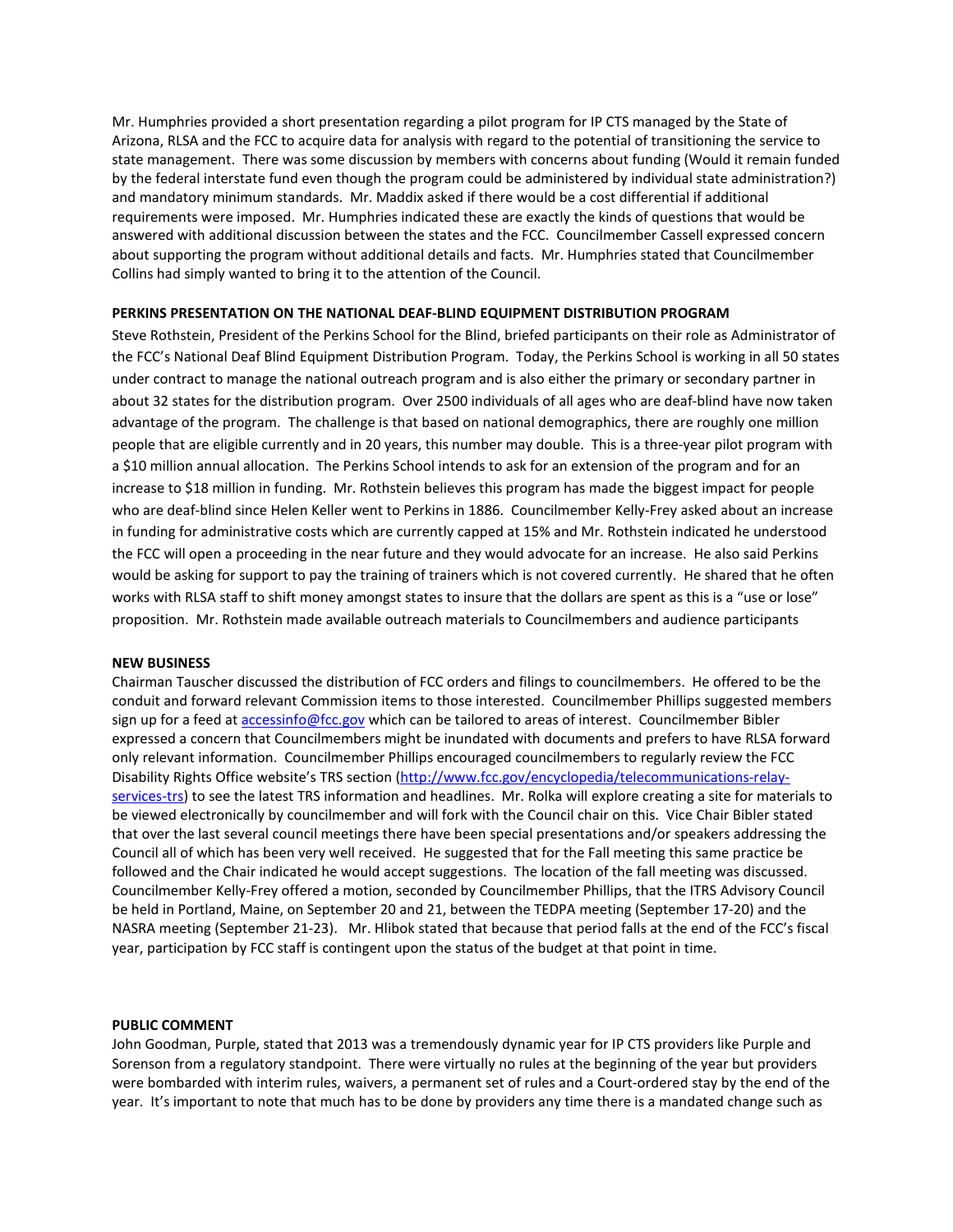Mr. Humphries provided a short presentation regarding a pilot program for IP CTS managed by the State of Arizona, RLSA and the FCC to acquire data for analysis with regard to the potential of transitioning the service to state management. There was some discussion by members with concerns about funding (Would it remain funded by the federal interstate fund even though the program could be administered by individual state administration?) and mandatory minimum standards. Mr. Maddix asked if there would be a cost differential if additional requirements were imposed. Mr. Humphries indicated these are exactly the kinds of questions that would be answered with additional discussion between the states and the FCC. Councilmember Cassell expressed concern about supporting the program without additional details and facts. Mr. Humphries stated that Councilmember Collins had simply wanted to bring it to the attention of the Council.

### **PERKINS PRESENTATION ON THE NATIONAL DEAF-BLIND EQUIPMENT DISTRIBUTION PROGRAM**

Steve Rothstein, President of the Perkins School for the Blind, briefed participants on their role as Administrator of the FCC's National Deaf Blind Equipment Distribution Program. Today, the Perkins School is working in all 50 states under contract to manage the national outreach program and is also either the primary or secondary partner in about 32 states for the distribution program. Over 2500 individuals of all ages who are deaf-blind have now taken advantage of the program. The challenge is that based on national demographics, there are roughly one million people that are eligible currently and in 20 years, this number may double. This is a three-year pilot program with a \$10 million annual allocation. The Perkins School intends to ask for an extension of the program and for an increase to \$18 million in funding. Mr. Rothstein believes this program has made the biggest impact for people who are deaf-blind since Helen Keller went to Perkins in 1886. Councilmember Kelly-Frey asked about an increase in funding for administrative costs which are currently capped at 15% and Mr. Rothstein indicated he understood the FCC will open a proceeding in the near future and they would advocate for an increase. He also said Perkins would be asking for support to pay the training of trainers which is not covered currently. He shared that he often works with RLSA staff to shift money amongst states to insure that the dollars are spent as this is a "use or lose" proposition. Mr. Rothstein made available outreach materials to Councilmembers and audience participants

#### **NEW BUSINESS**

Chairman Tauscher discussed the distribution of FCC orders and filings to councilmembers. He offered to be the conduit and forward relevant Commission items to those interested. Councilmember Phillips suggested members sign up for a feed at [accessinfo@fcc.gov](mailto:accessinfo@fcc.gov) which can be tailored to areas of interest. Councilmember Bibler expressed a concern that Councilmembers might be inundated with documents and prefers to have RLSA forward only relevant information. Councilmember Phillips encouraged councilmembers to regularly review the FCC Disability Rights Office website's TRS section [\(http://www.fcc.gov/encyclopedia/telecommunications-relay](http://www.fcc.gov/encyclopedia/telecommunications-relay-services-trs)[services-trs\)](http://www.fcc.gov/encyclopedia/telecommunications-relay-services-trs) to see the latest TRS information and headlines. Mr. Rolka will explore creating a site for materials to be viewed electronically by councilmember and will fork with the Council chair on this. Vice Chair Bibler stated that over the last several council meetings there have been special presentations and/or speakers addressing the Council all of which has been very well received. He suggested that for the Fall meeting this same practice be followed and the Chair indicated he would accept suggestions. The location of the fall meeting was discussed. Councilmember Kelly-Frey offered a motion, seconded by Councilmember Phillips, that the ITRS Advisory Council be held in Portland, Maine, on September 20 and 21, between the TEDPA meeting (September 17-20) and the NASRA meeting (September 21-23). Mr. Hlibok stated that because that period falls at the end of the FCC's fiscal year, participation by FCC staff is contingent upon the status of the budget at that point in time.

## **PUBLIC COMMENT**

John Goodman, Purple, stated that 2013 was a tremendously dynamic year for IP CTS providers like Purple and Sorenson from a regulatory standpoint. There were virtually no rules at the beginning of the year but providers were bombarded with interim rules, waivers, a permanent set of rules and a Court-ordered stay by the end of the year. It's important to note that much has to be done by providers any time there is a mandated change such as